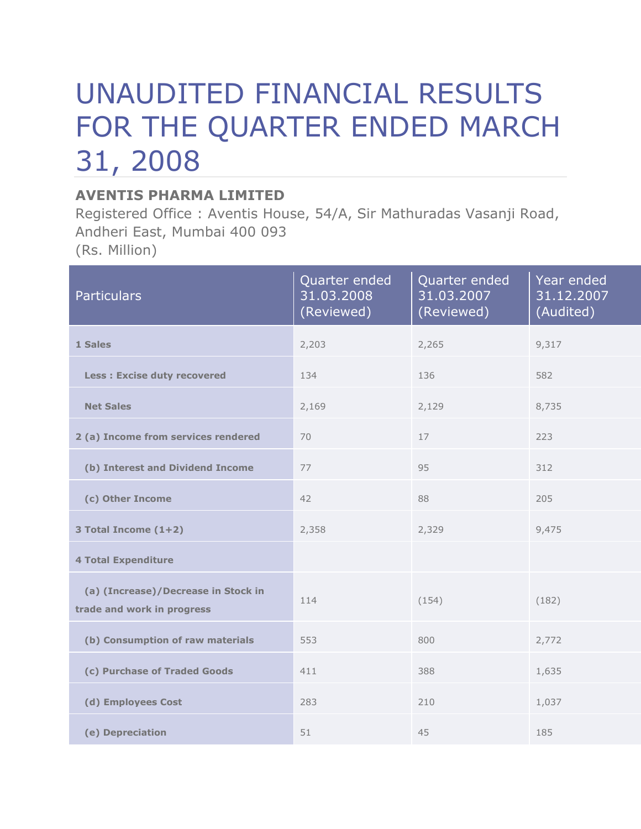# UNAUDITED FINANCIAL RESULTS FOR THE QUARTER ENDED MARCH 31, 2008

## **AVENTIS PHARMA LIMITED**

Registered Office : Aventis House, 54/A, Sir Mathuradas Vasanji Road, Andheri East, Mumbai 400 093 (Rs. Million)

| <b>Particulars</b>                                                | Quarter ended<br>31.03.2008<br>(Reviewed) | Quarter ended<br>31.03.2007<br>(Reviewed) | Year ended<br>31.12.2007<br>(Audited) |
|-------------------------------------------------------------------|-------------------------------------------|-------------------------------------------|---------------------------------------|
| 1 Sales                                                           | 2,203                                     | 2,265                                     | 9,317                                 |
| <b>Less: Excise duty recovered</b>                                | 134                                       | 136                                       | 582                                   |
| <b>Net Sales</b>                                                  | 2,169                                     | 2,129                                     | 8,735                                 |
| 2 (a) Income from services rendered                               | 70                                        | 17                                        | 223                                   |
| (b) Interest and Dividend Income                                  | 77                                        | 95                                        | 312                                   |
| (c) Other Income                                                  | 42                                        | 88                                        | 205                                   |
| 3 Total Income (1+2)                                              | 2,358                                     | 2,329                                     | 9,475                                 |
| <b>4 Total Expenditure</b>                                        |                                           |                                           |                                       |
| (a) (Increase)/Decrease in Stock in<br>trade and work in progress | 114                                       | (154)                                     | (182)                                 |
| (b) Consumption of raw materials                                  | 553                                       | 800                                       | 2,772                                 |
| (c) Purchase of Traded Goods                                      | 411                                       | 388                                       | 1,635                                 |
| (d) Employees Cost                                                | 283                                       | 210                                       | 1,037                                 |
| (e) Depreciation                                                  | 51                                        | 45                                        | 185                                   |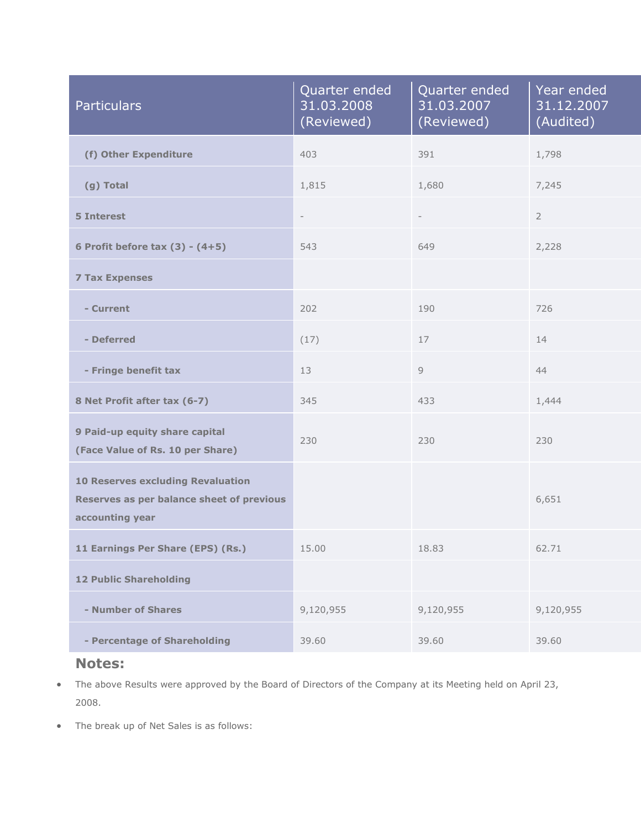| <b>Particulars</b>                                                                                       | Quarter ended<br>31.03.2008<br>(Reviewed) | Quarter ended<br>31.03.2007<br>(Reviewed) | Year ended<br>31.12.2007<br>(Audited) |
|----------------------------------------------------------------------------------------------------------|-------------------------------------------|-------------------------------------------|---------------------------------------|
| (f) Other Expenditure                                                                                    | 403                                       | 391                                       | 1,798                                 |
| (g) Total                                                                                                | 1,815                                     | 1,680                                     | 7,245                                 |
| <b>5 Interest</b>                                                                                        | $\overline{\phantom{a}}$                  | $\overline{\phantom{a}}$                  | $\overline{2}$                        |
| 6 Profit before tax $(3) - (4+5)$                                                                        | 543                                       | 649                                       | 2,228                                 |
| <b>7 Tax Expenses</b>                                                                                    |                                           |                                           |                                       |
| - Current                                                                                                | 202                                       | 190                                       | 726                                   |
| - Deferred                                                                                               | (17)                                      | 17                                        | 14                                    |
| - Fringe benefit tax                                                                                     | 13                                        | 9                                         | 44                                    |
| 8 Net Profit after tax (6-7)                                                                             | 345                                       | 433                                       | 1,444                                 |
| 9 Paid-up equity share capital<br>(Face Value of Rs. 10 per Share)                                       | 230                                       | 230                                       | 230                                   |
| <b>10 Reserves excluding Revaluation</b><br>Reserves as per balance sheet of previous<br>accounting year |                                           |                                           | 6,651                                 |
| 11 Earnings Per Share (EPS) (Rs.)                                                                        | 15.00                                     | 18.83                                     | 62.71                                 |
| <b>12 Public Shareholding</b>                                                                            |                                           |                                           |                                       |
| - Number of Shares                                                                                       | 9,120,955                                 | 9,120,955                                 | 9,120,955                             |
| - Percentage of Shareholding                                                                             | 39.60                                     | 39.60                                     | 39.60                                 |

#### **Notes:**

- The above Results were approved by the Board of Directors of the Company at its Meeting held on April 23, 2008.
- The break up of Net Sales is as follows: